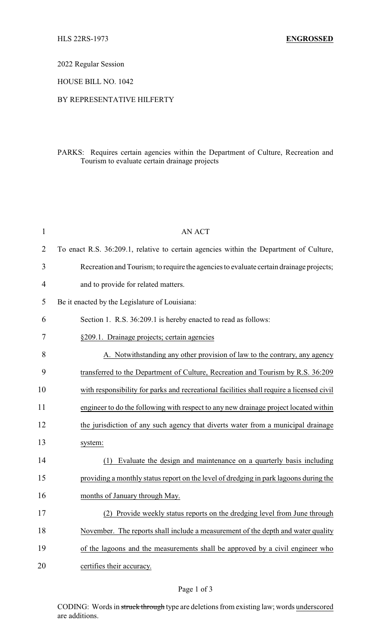2022 Regular Session

HOUSE BILL NO. 1042

## BY REPRESENTATIVE HILFERTY

## PARKS: Requires certain agencies within the Department of Culture, Recreation and Tourism to evaluate certain drainage projects

| $\mathbf 1$    | <b>AN ACT</b>                                                                            |
|----------------|------------------------------------------------------------------------------------------|
| 2              | To enact R.S. 36:209.1, relative to certain agencies within the Department of Culture,   |
| 3              | Recreation and Tourism; to require the agencies to evaluate certain drainage projects;   |
| $\overline{4}$ | and to provide for related matters.                                                      |
| 5              | Be it enacted by the Legislature of Louisiana:                                           |
| 6              | Section 1. R.S. 36:209.1 is hereby enacted to read as follows:                           |
| 7              | §209.1. Drainage projects; certain agencies                                              |
| 8              | A. Notwithstanding any other provision of law to the contrary, any agency                |
| 9              | transferred to the Department of Culture, Recreation and Tourism by R.S. 36:209          |
| 10             | with responsibility for parks and recreational facilities shall require a licensed civil |
| 11             | engineer to do the following with respect to any new drainage project located within     |
| 12             | the jurisdiction of any such agency that diverts water from a municipal drainage         |
| 13             | system:                                                                                  |
| 14             | Evaluate the design and maintenance on a quarterly basis including<br>(1)                |
| 15             | providing a monthly status report on the level of dredging in park lagoons during the    |
| 16             | months of January through May.                                                           |
| 17             | (2) Provide weekly status reports on the dredging level from June through                |
| 18             | November. The reports shall include a measurement of the depth and water quality         |
| 19             | of the lagoons and the measurements shall be approved by a civil engineer who            |
| 20             | certifies their accuracy.                                                                |
|                |                                                                                          |

CODING: Words in struck through type are deletions from existing law; words underscored are additions.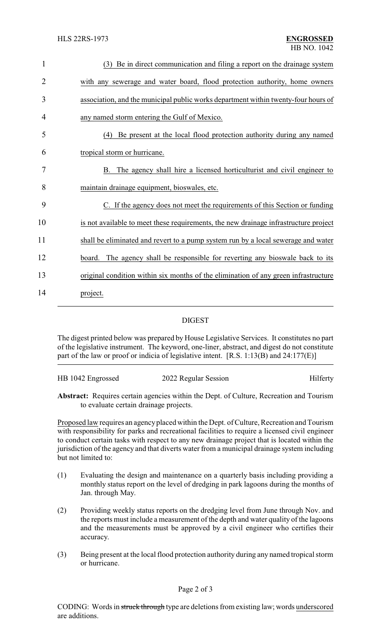| $\mathbf{1}$   | (3) Be in direct communication and filing a report on the drainage system            |
|----------------|--------------------------------------------------------------------------------------|
| $\overline{2}$ | with any sewerage and water board, flood protection authority, home owners           |
| 3              | association, and the municipal public works department within twenty-four hours of   |
| 4              | any named storm entering the Gulf of Mexico.                                         |
| 5              | (4) Be present at the local flood protection authority during any named              |
| 6              | tropical storm or hurricane.                                                         |
| 7              | The agency shall hire a licensed horticulturist and civil engineer to<br>B.          |
| 8              | maintain drainage equipment, bioswales, etc.                                         |
| 9              | C. If the agency does not meet the requirements of this Section or funding           |
| 10             | is not available to meet these requirements, the new drainage infrastructure project |
| 11             | shall be eliminated and revert to a pump system run by a local sewerage and water    |
| 12             | The agency shall be responsible for reverting any bioswale back to its<br>board.     |
| 13             | original condition within six months of the elimination of any green infrastructure  |
| 14             | project.                                                                             |

## DIGEST

The digest printed below was prepared by House Legislative Services. It constitutes no part of the legislative instrument. The keyword, one-liner, abstract, and digest do not constitute part of the law or proof or indicia of legislative intent. [R.S. 1:13(B) and 24:177(E)]

| HB 1042 Engrossed | 2022 Regular Session | Hilferty |
|-------------------|----------------------|----------|
|                   |                      |          |

**Abstract:** Requires certain agencies within the Dept. of Culture, Recreation and Tourism to evaluate certain drainage projects.

Proposed law requires an agency placed within the Dept. of Culture, Recreation and Tourism with responsibility for parks and recreational facilities to require a licensed civil engineer to conduct certain tasks with respect to any new drainage project that is located within the jurisdiction of the agency and that diverts water from a municipal drainage system including but not limited to:

- (1) Evaluating the design and maintenance on a quarterly basis including providing a monthly status report on the level of dredging in park lagoons during the months of Jan. through May.
- (2) Providing weekly status reports on the dredging level from June through Nov. and the reports must include a measurement of the depth and water quality of the lagoons and the measurements must be approved by a civil engineer who certifies their accuracy.
- (3) Being present at the local flood protection authority during any named tropical storm or hurricane.